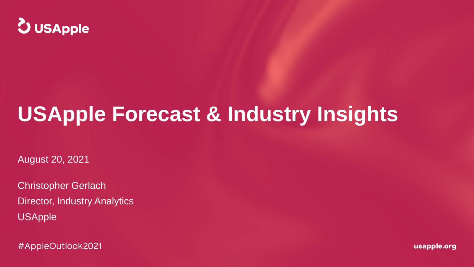

## **USApple Forecast & Industry Insights**

August 20, 2021

Christopher Gerlach Director, Industry Analytics USApple

#AppleOutlook2021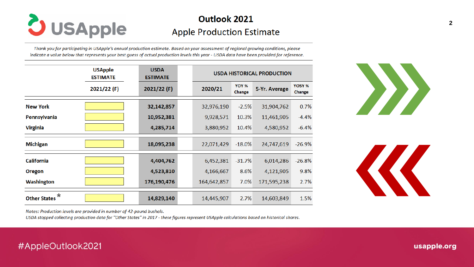

## Outlook 2021 **Apple Production Estimate**

Thank you for participating in USApple's annual production estimate. Based on your assessment of regional growing conditions, please indicate a value below that represents your best quess of actual production levels this year - USDA data have been provided for reference.

|                                | <b>USApple</b><br><b>ESTIMATE</b> | <b>USDA</b><br><b>ESTIMATE</b> | <b>USDA HISTORICAL PRODUCTION</b> |                 |               |                         |  |
|--------------------------------|-----------------------------------|--------------------------------|-----------------------------------|-----------------|---------------|-------------------------|--|
|                                | 2021/22 (F)                       | $2021/22$ (F)                  | 2020/21                           | YOY %<br>Change | 5-Yr. Average | <b>YO5Y %</b><br>Change |  |
| <b>New York</b>                |                                   | 32,142,857                     | 32,976,190                        | $-2.5%$         | 31,904,762    | 0.7%                    |  |
| <b>Pennsylvania</b>            |                                   | 10,952,381                     | 9,928,571                         | 10.3%           | 11,461,905    | $-4.4%$                 |  |
| <b>Virginia</b>                |                                   | 4,285,714                      | 3,880,952                         | 10.4%           | 4,580,952     | $-6.4%$                 |  |
| <b>Michigan</b>                |                                   | 18,095,238                     | 22,071,429                        | $-18.0%$        | 24,747,619    | $-26.9%$                |  |
| <b>California</b>              |                                   | 4,404,762                      | 6,452,381                         | $-31.7%$        | 6,014,286     | $-26.8%$                |  |
| Oregon                         |                                   | 4,523,810                      | 4,166,667                         | 8.6%            | 4,121,905     | 9.8%                    |  |
| <b>Washington</b>              |                                   | 176,190,476                    | 164,642,857                       | 7.0%            | 171,595,238   | 2.7%                    |  |
| $\star$<br><b>Other States</b> |                                   | 14,829,140                     | 14,445,907                        | 2.7%            | 14,603,849    | 1.5%                    |  |





Notes: Production levels are provided in number of 42-pound bushels.

USDA stopped collecting production data for "Other States" in 2017 - these figures represent USApple calculations based on historical shares.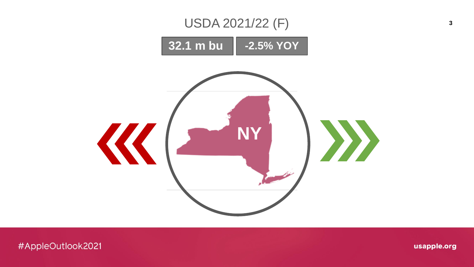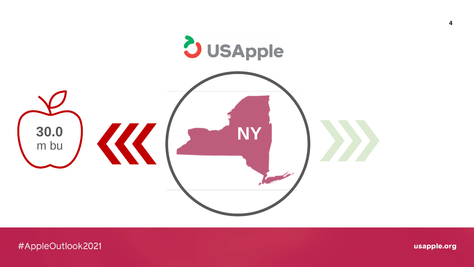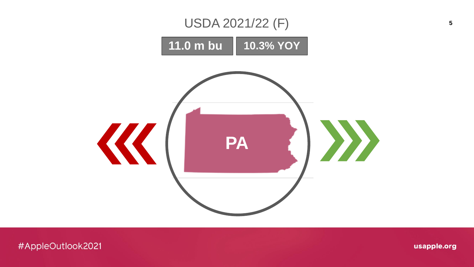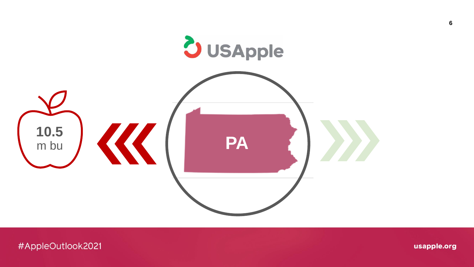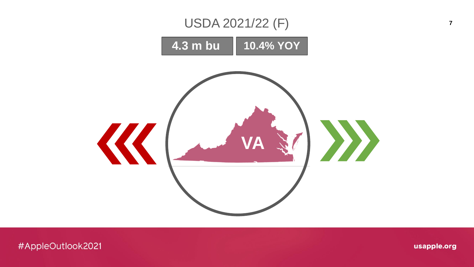

 $\overline{7}$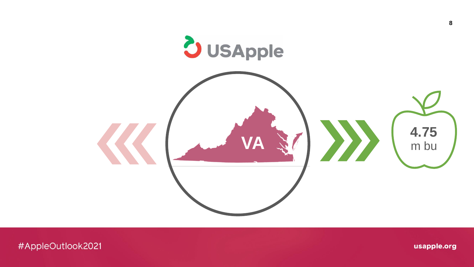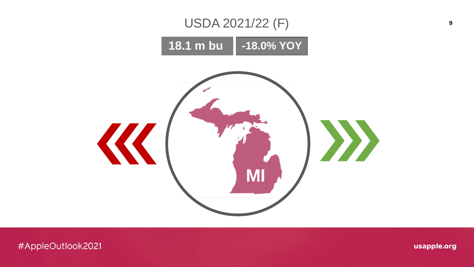

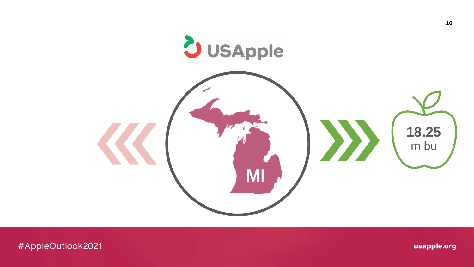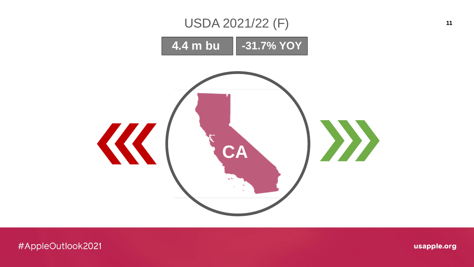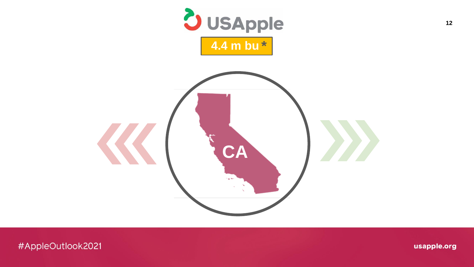

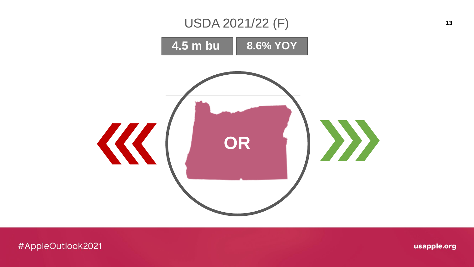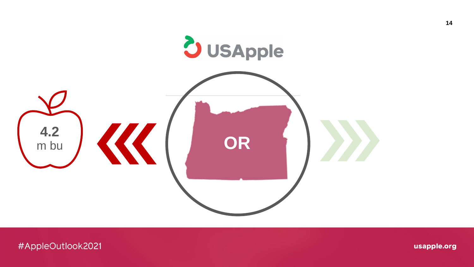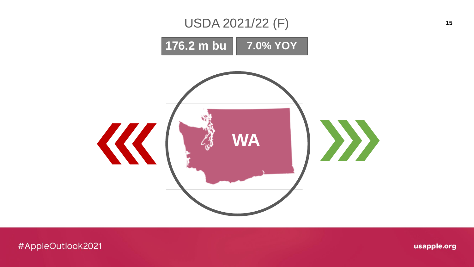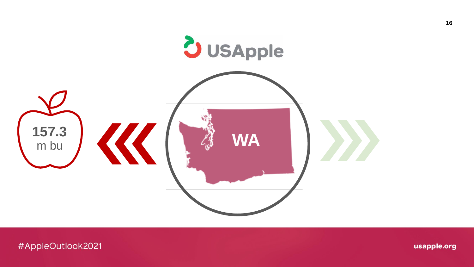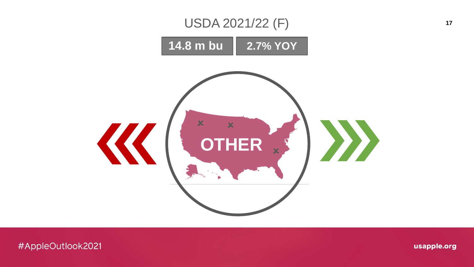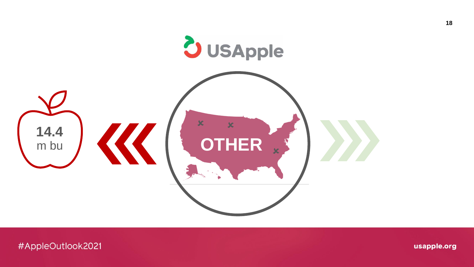